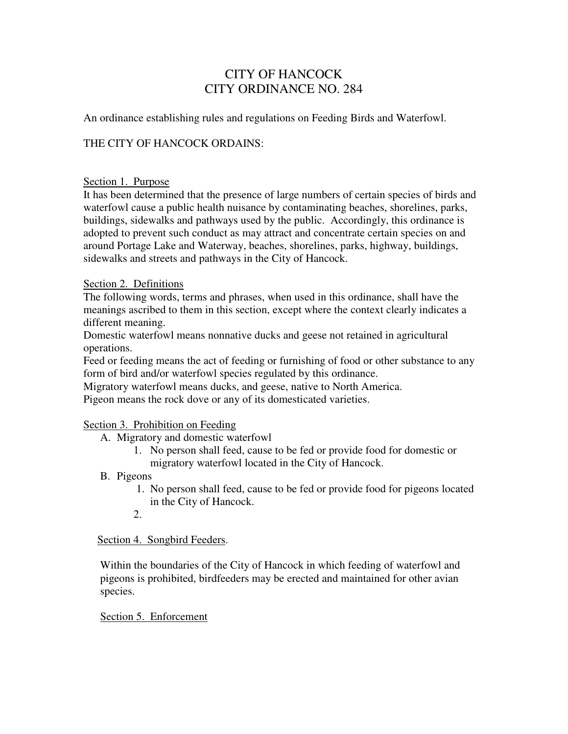## CITY OF HANCOCK CITY ORDINANCE NO. 284

An ordinance establishing rules and regulations on Feeding Birds and Waterfowl.

### THE CITY OF HANCOCK ORDAINS:

#### Section 1. Purpose

It has been determined that the presence of large numbers of certain species of birds and waterfowl cause a public health nuisance by contaminating beaches, shorelines, parks, buildings, sidewalks and pathways used by the public. Accordingly, this ordinance is adopted to prevent such conduct as may attract and concentrate certain species on and around Portage Lake and Waterway, beaches, shorelines, parks, highway, buildings, sidewalks and streets and pathways in the City of Hancock.

#### Section 2. Definitions

The following words, terms and phrases, when used in this ordinance, shall have the meanings ascribed to them in this section, except where the context clearly indicates a different meaning.

Domestic waterfowl means nonnative ducks and geese not retained in agricultural operations.

Feed or feeding means the act of feeding or furnishing of food or other substance to any form of bird and/or waterfowl species regulated by this ordinance.

Migratory waterfowl means ducks, and geese, native to North America.

Pigeon means the rock dove or any of its domesticated varieties.

#### Section 3. Prohibition on Feeding

- A. Migratory and domestic waterfowl
	- 1. No person shall feed, cause to be fed or provide food for domestic or migratory waterfowl located in the City of Hancock.
- B. Pigeons
	- 1. No person shall feed, cause to be fed or provide food for pigeons located in the City of Hancock.
	- 2.

#### Section 4. Songbird Feeders.

Within the boundaries of the City of Hancock in which feeding of waterfowl and pigeons is prohibited, birdfeeders may be erected and maintained for other avian species.

#### Section 5. Enforcement